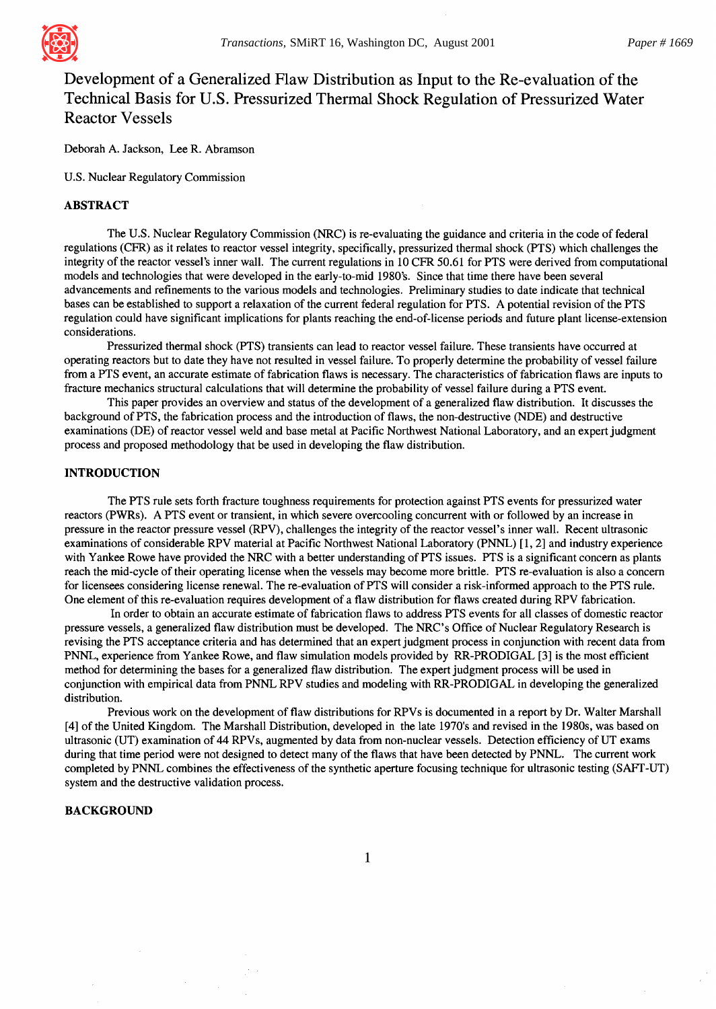

# **Development of a Generalized Flaw Distribution as Input to the Re-evaluation of the Technical Basis for U.S. Pressurized Thermal Shock Regulation of Pressurized Water Reactor Vessels**

Deborah A. Jackson, Lee R. Abramson

U.S. Nuclear Regulatory Commission

# ABSTRACT

The U.S. Nuclear Regulatory Commission (NRC) is re-evaluating the guidance and criteria in the code of federal regulations (CFR) as it relates to reactor vessel integrity, specifically, pressurized thermal shock (PTS) which challenges the integrity of the reactor vessel's inner wall. The current regulations in 10 CFR 50.61 for PTS were derived from computational models and technologies that were developed in the early-to-mid 1980's. Since that time there have been several advancements and refinements to the various models and technologies. Preliminary studies to date indicate that technical bases can be established to support a relaxation of the current federal regulation for PTS. A potential revision of the PTS regulation could have significant implications for plants reaching the end-of-license periods and future plant license-extension considerations.

Pressurized thermal shock (PTS) transients can lead to reactor vessel failure. These transients have occurred at operating reactors but to date they have not resulted in vessel failure. To properly determine the probability of vessel failure from a PTS event, an accurate estimate of fabrication flaws is necessary. The characteristics of fabrication flaws are inputs to fracture mechanics structural calculations that will determine the probability of vessel failure during a PTS event.

This paper provides an overview and status of the development of a generalized flaw distribution. It discusses the background of PTS, the fabrication process and the introduction of flaws, the non-destructive (NDE) and destructive examinations (DE) of reactor vessel weld and base metal at Pacific Northwest National Laboratory, and an expert judgment process and proposed methodology that be used in developing the flaw distribution.

# INTRODUCTION

The PTS rule sets forth fracture toughness requirements for protection against PTS events for pressurized water reactors (PWRs). A PTS event or transient, in which severe overcooling concurrent with or followed by an increase in pressure in the reactor pressure vessel (RPV), challenges the integrity of the reactor vessel's inner wall. Recent ultrasonic examinations of considerable RPV material at Pacific Northwest National Laboratory (PNNL) [ 1, 2] and industry experience with Yankee Rowe have provided the NRC with a better understanding of PTS issues. PTS is a significant concern as plants reach the mid-cycle of their operating license when the vessels may become more brittle. PTS re-evaluation is also a concern for licensees considering license renewal. The re-evaluation of PTS will consider a risk-informed approach to the PTS rule. One element of this re-evaluation requires development of a flaw distribution for flaws created during RPV fabrication.

In order to obtain an accurate estimate of fabrication flaws to address PTS events for all classes of domestic reactor pressure vessels, a generalized flaw distribution must be developed. The NRC's Office of Nuclear Regulatory Research is revising the PTS acceptance criteria and has determined that an expert judgment process in conjunction with recent data from PNNL, experience from Yankee Rowe, and flaw simulation models provided by RR-PRODIGAL [3] is the most efficient method for determining the bases for a generalized flaw distribution. The expert judgment process will be used in conjunction with empirical data from PNNL RPV studies and modeling with RR-PRODIGAL in developing the generalized distribution.

Previous work on the development of flaw distributions for RPVs is documented in a report by Dr. Walter Marshall [4] of the United Kingdom. The Marshall Distribution, developed in the late 1970's and revised in the 1980s, was based on ultrasonic (UT) examination of 44 RPVs, augmented by data from non-nuclear vessels. Detection efficiency of UT exams during that time period were not designed to detect many of the flaws that have been detected by PNNL. The current work completed by PNNL combines the effectiveness of the synthetic aperture focusing technique for ultrasonic testing (SAFT-UT) system and the destructive validation process.

# BACKGROUND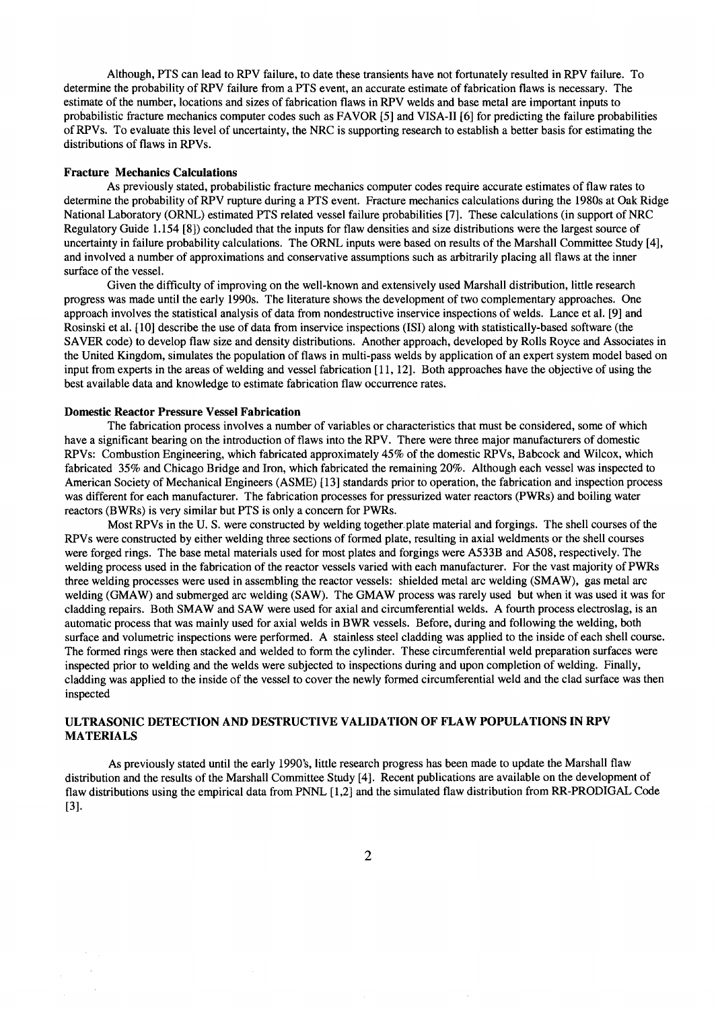Although, PTS can lead to RPV failure, to date these transients have not fortunately resulted in RPV failure. To determine the probability of RPV failure from a PTS event, an accurate estimate of fabrication flaws is necessary. The estimate of the number, locations and sizes of fabrication flaws in RPV welds and base metal are important inputs to probabilistic fracture mechanics computer codes such as FAVOR [5] and VISA-II [6] for predicting the failure probabilities of RPVs. To evaluate this level of uncertainty, the NRC is supporting research to establish a better basis for estimating the distributions of flaws in RPVs.

#### **Fracture Mechanics Calculations**

As previously stated, probabilistic fracture mechanics computer codes require accurate estimates of flaw rates to determine the probability of RPV rupture during a PTS event. Fracture mechanics calculations during the 1980s at Oak Ridge National Laboratory (ORNL) estimated PTS related vessel failure probabilities [7]. These calculations (in support of NRC Regulatory Guide 1.154 [8]) concluded that the inputs for flaw densities and size distributions were the largest source of uncertainty in failure probability calculations. The ORNL inputs were based on results of the Marshall Committee Study [4], and involved a number of approximations and conservative assumptions such as arbitrarily placing all flaws at the inner surface of the vessel.

Given the difficulty of improving on the well-known and extensively used Marshall distribution, little research progress was made until the early 1990s. The literature shows the development of two complementary approaches. One approach involves the statistical analysis of data from nondestructive inservice inspections of welds. Lance et al. [9] and Rosinski et al. [ 10] describe the use of data from inservice inspections (ISI) along with statistically-based software (the SAVER code) to develop flaw size and density distributions. Another approach, developed by Rolls Royce and Associates in the United Kingdom, simulates the population of flaws in multi-pass welds by application of an expert system model based on input from experts in the areas of welding and vessel fabrication [ 11, 12]. Both approaches have the objective of using the best available data and knowledge to estimate fabrication flaw occurrence rates.

#### **Domestic Reactor Pressure Vessel Fabrication**

The fabrication process involves a number of variables or characteristics that must be considered, some of which have a significant bearing on the introduction of flaws into the RPV. There were three major manufacturers of domestic RPVs: Combustion Engineering, which fabricated approximately 45% of the domestic RPVs, Babcock and Wilcox, which fabricated 35% and Chicago Bridge and Iron, which fabricated the remaining 20%. Although each vessel was inspected to American Society of Mechanical Engineers (ASME) [ 13] standards prior to operation, the fabrication and inspection process was different for each manufacturer. The fabrication processes for pressurized water reactors (PWRs) and boiling water reactors (BWRs) is very similar but PTS is only a concern for PWRs.

Most RPVs in the U. S. were constructed by welding together plate material and forgings. The shell courses of the RPVs were constructed by either welding three sections of formed plate, resulting in axial weldments or the shell courses were forged rings. The base metal materials used for most plates and forgings were A533B and A508, respectively. The welding process used in the fabrication of the reactor vessels varied with each manufacturer. For the vast majority of PWRs three welding processes were used in assembling the reactor vessels: shielded metal arc welding (SMAW), gas metal arc welding (GMAW) and submerged arc welding (SAW). The GMAW process was rarely used but when it was used it was for cladding repairs. Both SMAW and SAW were used for axial and circumferential welds. A fourth process electroslag, is an automatic process that was mainly used for axial welds in BWR vessels. Before, during and following the welding, both surface and volumetric inspections were performed. A stainless steel cladding was applied to the inside of each shell course. The formed rings were then stacked and welded to form the cylinder. These circumferential weld preparation surfaces were inspected prior to welding and the welds were subjected to inspections during and upon completion of welding. Finally, cladding was applied to the inside of the vessel to cover the newly formed circumferential weld and the clad surface was then inspected

# ULTRASONIC DETECTION AND DESTRUCTIVE VALIDATION OF FLAW POPULATIONS IN RPV MATERIALS

As previously stated until the early 1990's, little research progress has been made to update the Marshall flaw distribution and the results of the Marshall Committee Study [4]. Recent publications are available on the development of flaw distributions using the empirical data from PNNL [ 1,2] and the simulated flaw distribution from RR-PRODIGAL Code [31.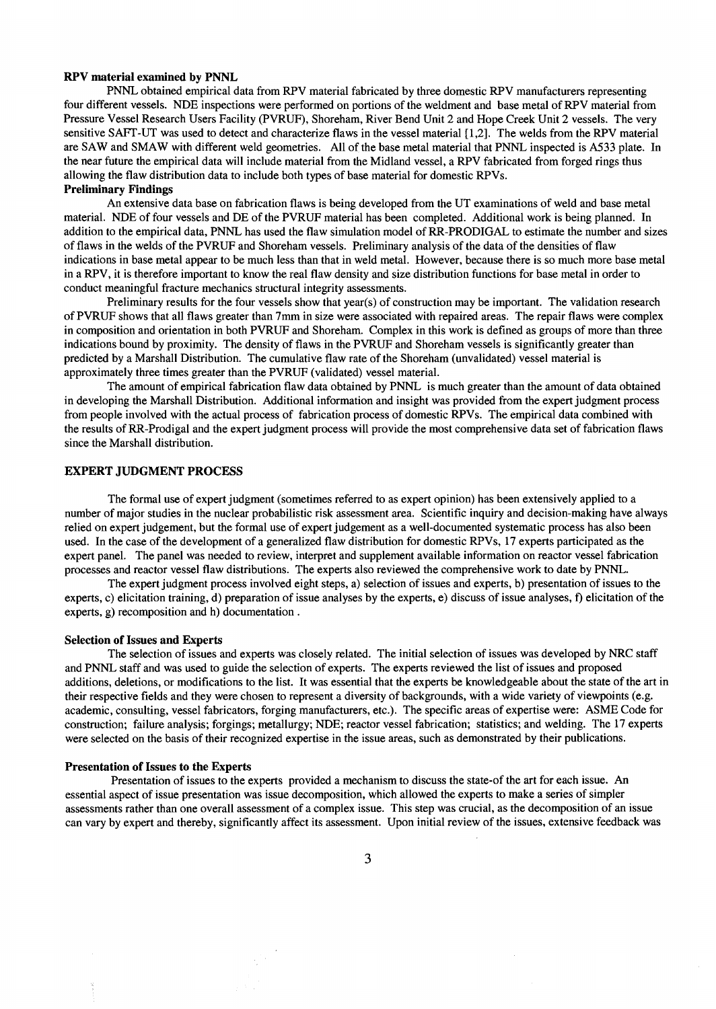## **RPV material examined by PNNL**

PNNL obtained empirical data from RPV material fabricated by three domestic RPV manufacturers representing four different vessels. NDE inspections were performed on portions of the weldment and base metal of RPV material from Pressure Vessel Research Users Facility (PVRUF), Shoreham, River Bend Unit 2 and Hope Creek Unit 2 vessels. The very sensitive SAFT-UT was used to detect and characterize flaws in the vessel material [ 1,2]. The welds from the RPV material are SAW and SMAW with different weld geometries. All of the base metal material that PNNL inspected is A533 plate. In the near future the empirical data will include material from the Midland vessel, a RPV fabricated from forged rings thus allowing the flaw distribution data to include both types of base material for domestic RPVs.

# **Preliminary Findings**

An extensive data base on fabrication flaws is being developed from the UT examinations of weld and base metal material. NDE of four vessels and DE of the PVRUF material has been completed. Additional work is being planned. In addition to the empirical data, PNNL has used the flaw simulation model of RR-PRODIGAL to estimate the number and sizes of flaws in the welds of the PVRUF and Shoreham vessels. Preliminary analysis of the data of the densities of flaw indications in base metal appear to be much less than that in weld metal. However, because there is so much more base metal in a RPV, it is therefore important to know the real flaw density and size distribution functions for base metal in order to conduct meaningful fracture mechanics structural integrity assessments.

Preliminary results for the four vessels show that year(s) of construction may be important. The validation research of PVRUF shows that all flaws greater than 7mm in size were associated with repaired areas. The repair flaws were complex in composition and orientation in both PVRUF and Shoreham. Complex in this work is defined as groups of more than three indications bound by proximity. The density of flaws in the PVRUF and Shoreham vessels is significantly greater than predicted by a Marshall Distribution. The cumulative flaw rate of the Shoreham (unvalidated) vessel material is approximately three times greater than the PVRUF (validated) vessel material.

The amount of empirical fabrication flaw data obtained by PNNL is much greater than the amount of data obtained in developing the Marshall Distribution. Additional information and insight was provided from the expert judgment process from people involved with the actual process of fabrication process of domestic RPVs. The empirical data combined with the results of RR-Prodigal and the expert judgment process will provide the most comprehensive data set of fabrication flaws since the Marshall distribution.

# **EXPERT JUDGMENT PROCESS**

The formal use of expert judgment (sometimes referred to as expert opinion) has been extensively applied to a number of major studies in the nuclear probabilistic risk assessment area. Scientific inquiry and decision-making have always relied on expert judgement, but the formal use of expert judgement as a well-documented systematic process has also been used. In the case of the development of a generalized flaw distribution for domestic RPVs, 17 experts participated as the expert panel. The panel was needed to review, interpret and supplement available information on reactor vessel fabrication processes and reactor vessel flaw distributions. The experts also reviewed the comprehensive work to date by PNNL.

The expert judgment process involved eight steps, a) selection of issues and experts, b) presentation of issues to the experts, c) elicitation training, d) preparation of issue analyses by the experts, e) discuss of issue analyses, f) elicitation of the experts, g) recomposition and h) documentation.

#### **Selection of Issues and Experts**

The selection of issues and experts was closely related. The initial selection of issues was developed by NRC staff and PNNL staff and was used to guide the selection of experts. The experts reviewed the list of issues and proposed additions, deletions, or modifications to the list. It was essential that the experts be knowledgeable about the state of the art in their respective fields and they were chosen to represent a diversity of backgrounds, with a wide variety of viewpoints (e.g. academic, consulting, vessel fabricators, forging manufacturers, etc.). The specific areas of expertise were: ASME Code for construction; failure analysis; forgings; metallurgy; NDE; reactor vessel fabrication; statistics; and welding. The 17 experts were selected on the basis of their recognized expertise in the issue areas, such as demonstrated by their publications.

## **Presentation of Issues to the Experts**

Presentation of issues to the experts provided a mechanism to discuss the state-of the art for each issue. An essential aspect of issue presentation was issue decomposition, which allowed the experts to make a series of simpler assessments rather than one overall assessment of a complex issue. This step was crucial, as the decomposition of an issue can vary by expert and thereby, significantly affect its assessment. Upon initial review of the issues, extensive feedback was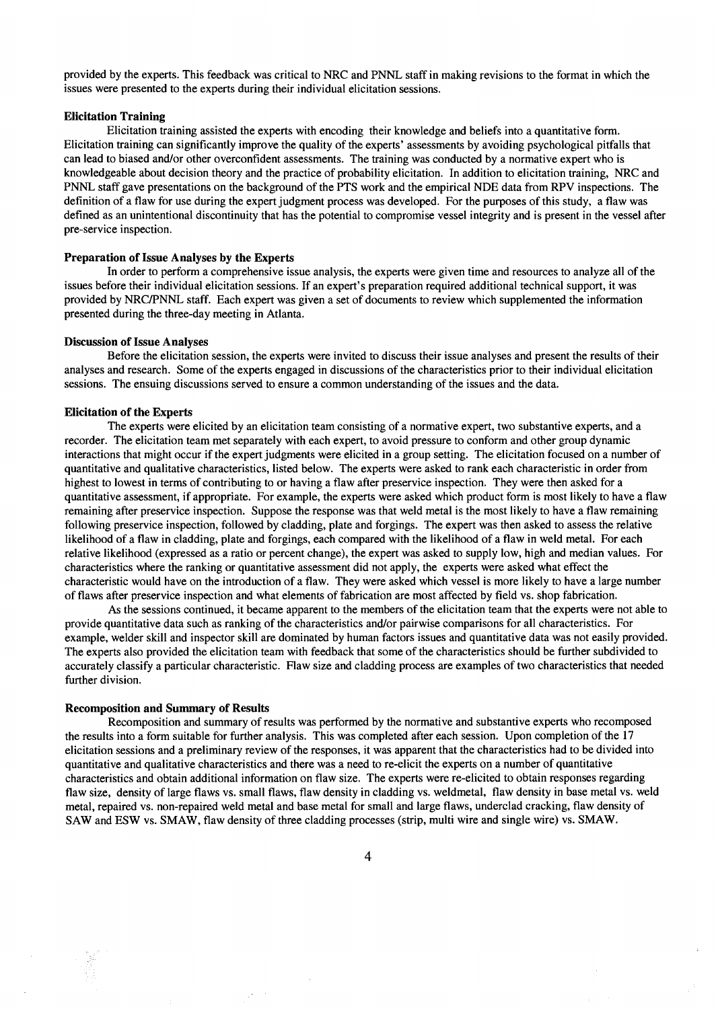provided by the experts. This feedback was critical to NRC and PNNL staff in making revisions to the format in which the issues were presented to the experts during their individual elicitation sessions.

### **Elicitation Training**

Elicitation training assisted the experts with encoding their knowledge and beliefs into a quantitative form. Elicitation training can significantly improve the quality of the experts' assessments by avoiding psychological pitfalls that can lead to biased and/or other overconfident assessments. The training was conducted by a normative expert who is knowledgeable about decision theory and the practice of probability elicitation. In addition to elicitation training, NRC and PNNL staff gave presentations on the background of the PTS work and the empirical NDE data from RPV inspections. The definition of a flaw for use during the expert judgment process was developed. For the purposes of this study, a flaw was defined as an unintentional discontinuity that has the potential to compromise vessel integrity and is present in the vessel after pre-service inspection.

#### **Preparation of Issue Analyses by the Experts**

In order to perform a comprehensive issue analysis, the experts were given time and resources to analyze all of the issues before their individual elicitation sessions. If an expert's preparation required additional technical support, it was provided by NRC/PNNL staff. Each expert was given a set of documents to review which supplemented the information presented during the three-day meeting in Atlanta.

# **Discussion of Issue Analyses**

Before the elicitation session, the experts were invited to discuss their issue analyses and present the results of their analyses and research. Some of the experts engaged in discussions of the characteristics prior to their individual elicitation sessions. The ensuing discussions served to ensure a common understanding of the issues and the data.

#### **Elicitation of the Experts**

The experts were elicited by an elicitation team consisting of a normative expert, two substantive experts, and a recorder. The elicitation team met separately with each expert, to avoid pressure to conform and other group dynamic interactions that might occur if the expert judgments were elicited in a group setting. The elicitation focused on a number of quantitative and qualitative characteristics, listed below. The experts were asked to rank each characteristic in order from highest to lowest in terms of contributing to or having a flaw after preservice inspection. They were then asked for a quantitative assessment, if appropriate. For example, the experts were asked which product form is most likely to have a flaw remaining after preservice inspection. Suppose the response was that weld metal is the most likely to have a flaw remaining following preservice inspection, followed by cladding, plate and forgings. The expert was then asked to assess the relative likelihood of a flaw in cladding, plate and forgings, each compared with the likelihood of a flaw in weld metal. For each relative likelihood (expressed as a ratio or percent change), the expert was asked to supply low, high and median values. For characteristics where the ranking or quantitative assessment did not apply, the experts were asked what effect the characteristic would have on the introduction of a flaw. They were asked which vessel is more likely to have a large number of flaws after preservice inspection and what elements of fabrication are most affected by field vs. shop fabrication.

As the sessions continued, it became apparent to the members of the elicitation team that the experts were not able to provide quantitative data such as ranking of the characteristics and/or pairwise comparisons for all characteristics. For example, welder skill and inspector skill are dominated by human factors issues and quantitative data was not easily provided. The experts also provided the elicitation team with feedback that some of the characteristics should be further subdivided to accurately classify a particular characteristic. Flaw size and cladding process are examples of two characteristics that needed further division.

## **Recomposition and Summary of Results**

Recomposition and summary of results was performed by the normative and substantive experts who recomposed the results into a form suitable for further analysis. This was completed after each session. Upon completion of the 17 elicitation sessions and a preliminary review of the responses, it was apparent that the characteristics had to be divided into quantitative and qualitative characteristics and there was a need to re-elicit the experts on a number of quantitative characteristics and obtain additional information on flaw size. The experts were re-elicited to obtain responses regarding flaw size, density of large flaws vs. small flaws, flaw density in cladding vs. weldmetal, flaw density in base metal vs. weld metal, repaired vs. non-repaired weld metal and base metal for small and large flaws, underclad cracking, flaw density of SAW and ESW vs. SMAW, flaw density of three cladding processes (strip, multi wire and single wire) vs. SMAW.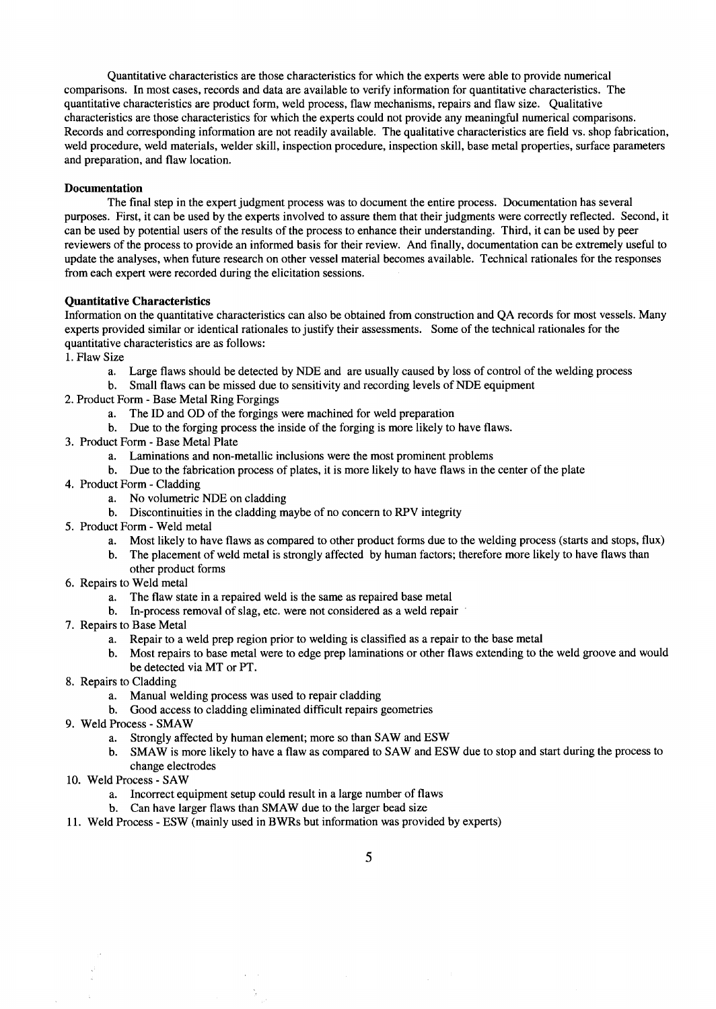Quantitative characteristics are those characteristics for which the experts were able to provide numerical comparisons. In most cases, records and data are available to verify information for quantitative characteristics. The quantitative characteristics are product form, weld process, flaw mechanisms, repairs and flaw size. Qualitative characteristics are those characteristics for which the experts could not provide any meaningful numerical comparisons. Records and corresponding information are not readily available. The qualitative characteristics are field vs. shop fabrication, weld procedure, weld materials, welder skill, inspection procedure, inspection skill, base metal properties, surface parameters and preparation, and flaw location.

# **Documentation**

The final step in the expert judgment process was to document the entire process. Documentation has several purposes. First, it can be used by the experts involved to assure them that their judgments were correctly reflected. Second, it can be used by potential users of the results of the process to enhance their understanding. Third, it can be used by peer reviewers of the process to provide an informed basis for their review. And finally, documentation can be extremely useful to update the analyses, when future research on other vessel material becomes available. Technical rationales for the responses from each expert were recorded during the elicitation sessions.

# **Quantitative Characteristics**

Information on the quantitative characteristics can also be obtained from construction and QA records for most vessels. Many experts provided similar or identical rationales to justify their assessments. Some of the technical rationales for the quantitative characteristics are as follows:

1. Flaw Size

- a. Large flaws should be detected by NDE and are usually caused by loss of control of the welding process
- b. Small flaws can be missed due to sensitivity and recording levels of NDE equipment
- 2. Product Form Base Metal Ring Forgings
	- a. The ID and OD of the forgings were machined for weld preparation
	- b. Due to the forging process the inside of the forging is more likely to have flaws.
- 3. Product Form Base Metal Plate
	- a. Laminations and non-metallic inclusions were the most prominent problems
	- b. Due to the fabrication process of plates, it is more likely to have flaws in the center of the plate
- 4. Product Form Cladding
	- a. No volumetric NDE on cladding
	- b. Discontinuities in the cladding maybe of no concern to RPV integrity
- 5. Product Form- Weld metal
	- a. Most likely to have flaws as compared to other product forms due to the welding process (starts and stops, flux)
	- b. The placement of weld metal is strongly affected by human factors; therefore more likely to have flaws than other product forms
- 6. Repairs to Weld metal
	- a. The flaw state in a repaired weld is the same as repaired base metal
	- b. In-process removal of slag, etc. were not considered as a weld repair
- 7. Repairs to Base Metal
	- a. Repair to a weld prep region prior to welding is classified as a repair to the base metal
	- b. Most repairs to base metal were to edge prep laminations or other flaws extending to the weld groove and would be detected via MT or PT.
- 8. Repairs to Cladding
	- a. Manual welding process was used to repair cladding
	- b. Good access to cladding eliminated difficult repairs geometries
- 9. Weld Process SMAW
	- a. Strongly affected by human element; more so than SAW and ESW
	- b. SMAW is more likely to have a flaw as compared to SAW and ESW due to stop and start during the process to change electrodes
- 10. Weld Process SAW
	- a. Incorrect equipment setup could result in a large number of flaws
	- b. Can have larger flaws than SMAW due to the larger bead size
- 11. Weld Process ESW (mainly used in BWRs but information was provided by experts)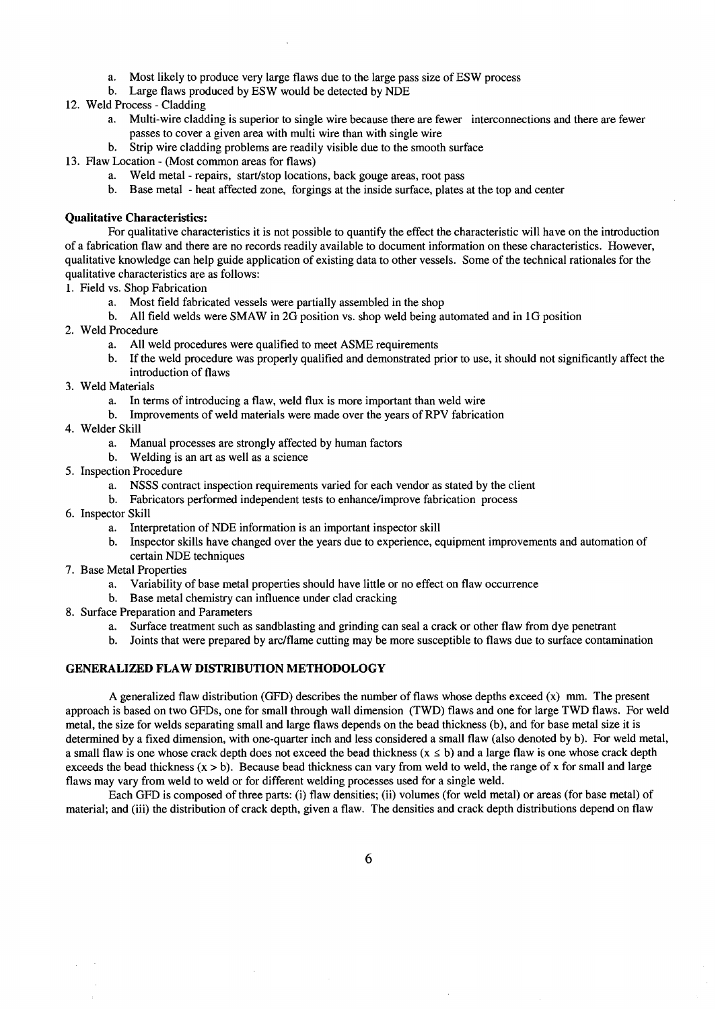- a. Most likely to produce very large flaws due to the large pass size of ESW process
- b. Large flaws produced by ESW would be detected by NDE
- 12. Weld Process Cladding
	- a. Multi-wire cladding is superior to single wire because there are fewer interconnections and there are fewer passes to cover a given area with multi wire than with single wire
	- b. Strip wire cladding problems are readily visible due to the smooth surface
- 13. Flaw Location (Most common areas for flaws)
	- a. Weld metal repairs, start/stop locations, back gouge areas, root pass
	- b. Base metal heat affected zone, forgings at the inside surface, plates at the top and center

# **Qualitative Characteristics:**

For qualitative characteristics it is not possible to quantify the effect the characteristic will have on the introduction of a fabrication flaw and there are no records readily available to document information on these characteristics. However, qualitative knowledge can help guide application of existing data to other vessels. Some of the technical rationales for the qualitative characteristics are as follows:

- 1. Field vs. Shop Fabrication
	- a. Most field fabricated vessels were partially assembled in the shop
	- b. All field welds were SMAW in 2G position vs. shop weld being automated and in 1G position
- 2. Weld Procedure
	- a. All weld procedures were qualified to meet ASME requirements
	- b. If the weld procedure was properly qualified and demonstrated prior to use, it should not significantly affect the introduction of flaws
- 3. Weld Materials
	- a. In terms of introducing a flaw, weld flux is more important than weld wire
	- b. Improvements of weld materials were made over the years of RPV fabrication
- 4. Welder Skill
	- a. Manual processes are strongly affected by human factors
	- b. Welding is an art as well as a science
- 5. Inspection Procedure
	- a. NSSS contract inspection requirements varied for each vendor as stated by the client
	- b. Fabricators performed independent tests to enhance/improve fabrication process
- 6. Inspector Skill
	- a. Interpretation of NDE information is an important inspector skill
	- b. Inspector skills have changed over the years due to experience, equipment improvements and automation of certain NDE techniques
- 7. Base Metal Properties
	- a. Variability of base metal properties should have little or no effect on flaw occurrence
	- b. Base metal chemistry can influence under clad cracking
- 8. Surface Preparation and Parameters
	- a. Surface treatment such as sandblasting and grinding can seal a crack or other flaw from dye penetrant
	- b. Joints that were prepared by arc/flame cutting may be more susceptible to flaws due to surface contamination

# GENERALIZED FLAW DISTRIBUTION METHODOLOGY

A generalized flaw distribution (GFD) describes the number of flaws whose depths exceed  $(x)$  mm. The present approach is based on two GFDs, one for small through wall dimension (TWD) flaws and one for large TWD flaws. For weld metal, the size for welds separating small and large flaws depends on the bead thickness (b), and for base metal size it is determined by a fixed dimension, with one-quarter inch and less considered a small flaw (also denoted by b). For weld metal, a small flaw is one whose crack depth does not exceed the bead thickness ( $x \le b$ ) and a large flaw is one whose crack depth exceeds the bead thickness  $(x > b)$ . Because bead thickness can vary from weld to weld, the range of x for small and large flaws may vary from weld to weld or for different welding processes used for a single weld.

Each GFD is composed of three parts: (i) flaw densities; (ii) volumes (for weld metal) or areas (for base metal) of material; and (iii) the distribution of crack depth, given a flaw. The densities and crack depth distributions depend on flaw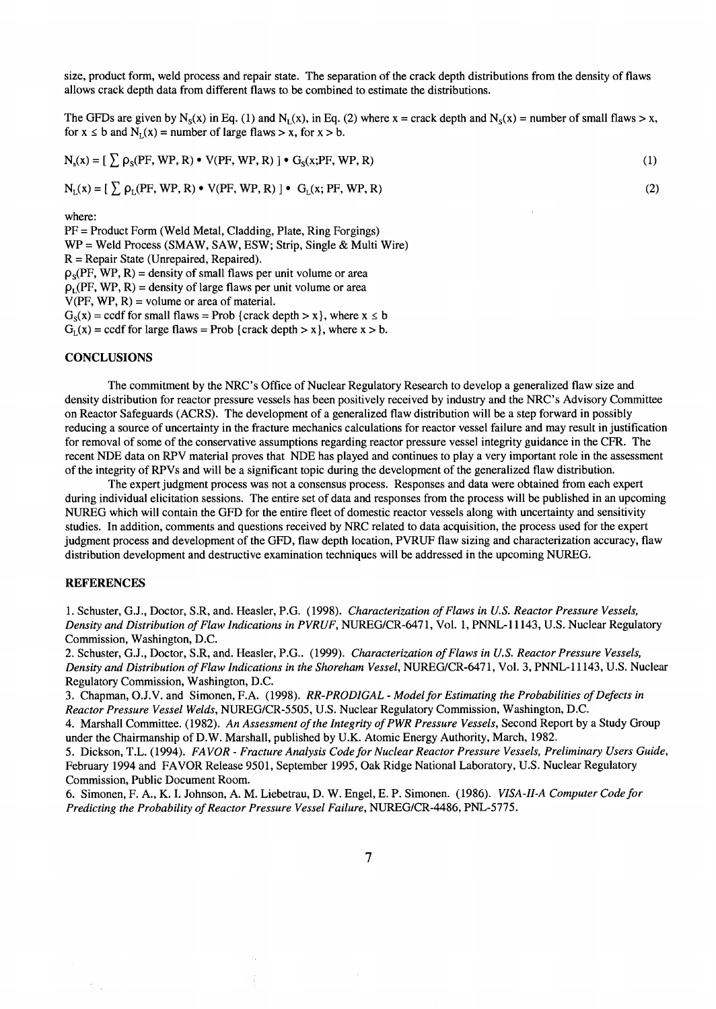size, product form, weld process and repair state. The separation of the crack depth distributions from the density of flaws allows crack depth data from different flaws to be combined to estimate the distributions.

The GFDs are given by N<sub>s</sub>(x) in Eq. (1) and N<sub>I</sub>(x), in Eq. (2) where x = crack depth and N<sub>s</sub>(x) = number of small flaws > x, for  $x \leq b$  and  $N_{\tau}(x)$  = number of large flaws > x, for  $x > b$ .

$$
N_s(x) = \left[ \sum_{s} \rho_s(\text{PF}, \text{WP}, \text{R}) \bullet V(\text{PF}, \text{WP}, \text{R}) \right] \bullet G_s(x; \text{PF}, \text{WP}, \text{R}) \tag{1}
$$

$$
N_{L}(x) = \left[\sum_{i} \rho_{L}(PF, WP, R) \bullet V(PF, WP, R)\right] \bullet G_{L}(x; PF, WP, R)
$$

where:

PF = Product Form (Weld Metal, Cladding, Plate, Ring Forgings) WP = Weld Process (SMAW, SAW, ESW; Strip, Single & Multi Wire) R = Repair State (Unrepaired, Repaired).  $p_s(PF, WP, R)$  = density of small flaws per unit volume or area  $\rho_1(PF, WP, R)$  = density of large flaws per unit volume or area  $V(PF, WP, R) = volume or area of material.$  $G_s(x) = \text{ccdf}$  for small flaws = Prob {crack depth > x}, where  $x \le b$ 

 $G<sub>L</sub>(x) = \text{ccdf}$  for large flaws = Prob {crack depth > x}, where x > b.

## **CONCLUSIONS**

The commitment by the NRC's Office of Nuclear Regulatory Research to develop a generalized flaw size and density distribution for reactor pressure vessels has been positively received by industry and the NRC's Advisory Committee on Reactor Safeguards (ACRS). The development of a generalized flaw distribution will be a step forward in possibly reducing a source of uncertainty in the fracture mechanics calculations for reactor vessel failure and may result in justification for removal of some of the conservative assumptions regarding reactor pressure vessel integrity guidance in the CFR. The recent NDE data on RPV material proves that NDE has played and continues to play a very important role in the assessment of the integrity of RPVs and will be a significant topic during the development of the generalized flaw distribution.

The expert judgment process was not a consensus process. Responses and data were obtained from each expert during individual elicitation sessions. The entire set of data and responses from the process will be published in an upcoming NUREG which will contain the GFD for the entire fleet of domestic reactor vessels along with uncertainty and sensitivity studies. In addition, comments and questions received by NRC related to data acquisition, the process used for the expert judgment process and development of the GFD, flaw depth location, PVRUF flaw sizing and characterization accuracy, flaw distribution development and destructive examination techniques will be addressed in the upcoming NUREG.

## **REFERENCES**

1. Schuster, G.J., Doctor, S.R, and. Heasler, P.G. (1998). *Characterization of Flaws in U.S. Reactor Pressure Vessels, Density and Distribution of Flaw Indications in P VRUF,* NUREG/CR-6471, Vol. 1, PNNL-11143, U.S. Nuclear Regulatory Commission, Washington, D.C.

2. Schuster, G.J., Doctor, S.R, and. Heasler, P.G.. (1999). *Characterization of Flaws in U.S. Reactor Pressure Vessels, Density and Distribution of Flaw Indications in the Shoreham Vessel,* NUREG/CR-6471, Vol. 3, PNNL-11143, U.S. Nuclear Regulatory Commission, Washington, D.C.

3. Chapman, O.J.V. and Simonen, F.A. (1998). *RR-PRODIGAL- Model for Estimating the Probabilities of Defects in Reactor Pressure Vessel Welds,* NUREG/CR-5505, U.S. Nuclear Regulatory Commission, Washington, D.C.

4. Marshall Committee. (1982). *An Assessment of the Integrity of PWR Pressure Vessels,* Second Report by a Study Group under the Chairmanship of D.W. Marshall, published by U.K. Atomic Energy Authority, March, 1982.

5. Dickson, T.L. (1994). *FAVOR- Fracture Analysis Code for Nuclear Reactor Pressure Vessels, Preliminary Users Guide,*  February 1994 and FAVOR Release 9501, September 1995, Oak Ridge National Laboratory, U.S. Nuclear Regulatory Commission, Public Document Room.

6. Simonen, F. A., K. I. Johnson, A. M. Liebetrau, D. W. Engel, E. P. Simonen. (1986). *VISA-H-A Computer Code for Predicting the Probability of Reactor Pressure Vessel Failure,* NUREG/CR-4486, PNL-5775.

(2)